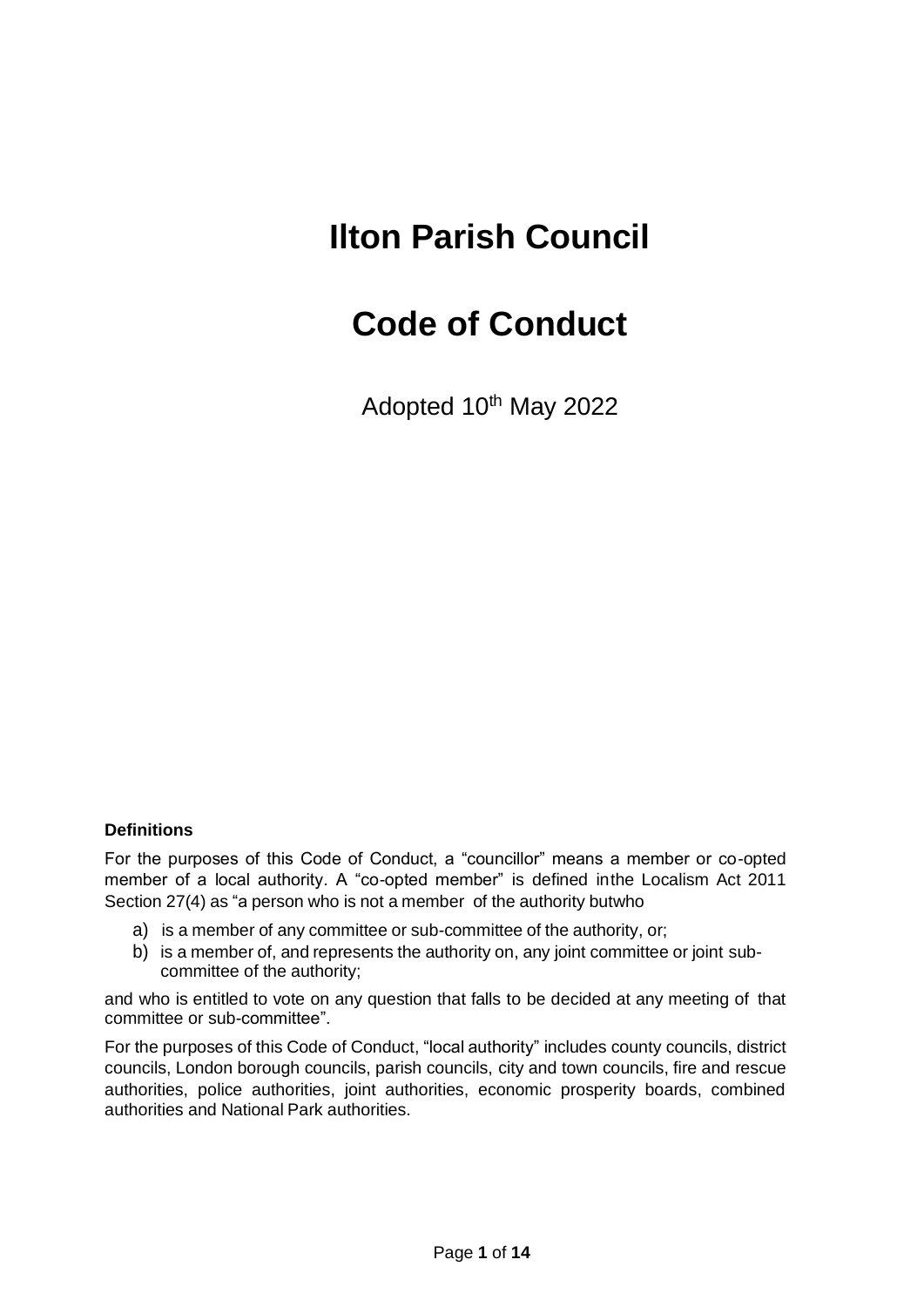# **Ilton Parish Council**

# **Code of Conduct**

Adopted 10<sup>th</sup> May 2022

### **Definitions**

For the purposes of this Code of Conduct, a "councillor" means a member or co-opted member of a local authority. A "co-opted member" is defined inthe Localism Act 2011 Section 27(4) as "a person who is not a member of the authority butwho

- a) is a member of any committee or sub-committee of the authority, or;
- b) is a member of, and represents the authority on, any joint committee or joint subcommittee of the authority;

and who is entitled to vote on any question that falls to be decided at any meeting of that committee or sub-committee".

For the purposes of this Code of Conduct, "local authority" includes county councils, district councils, London borough councils, parish councils, city and town councils, fire and rescue authorities, police authorities, joint authorities, economic prosperity boards, combined authorities and National Park authorities.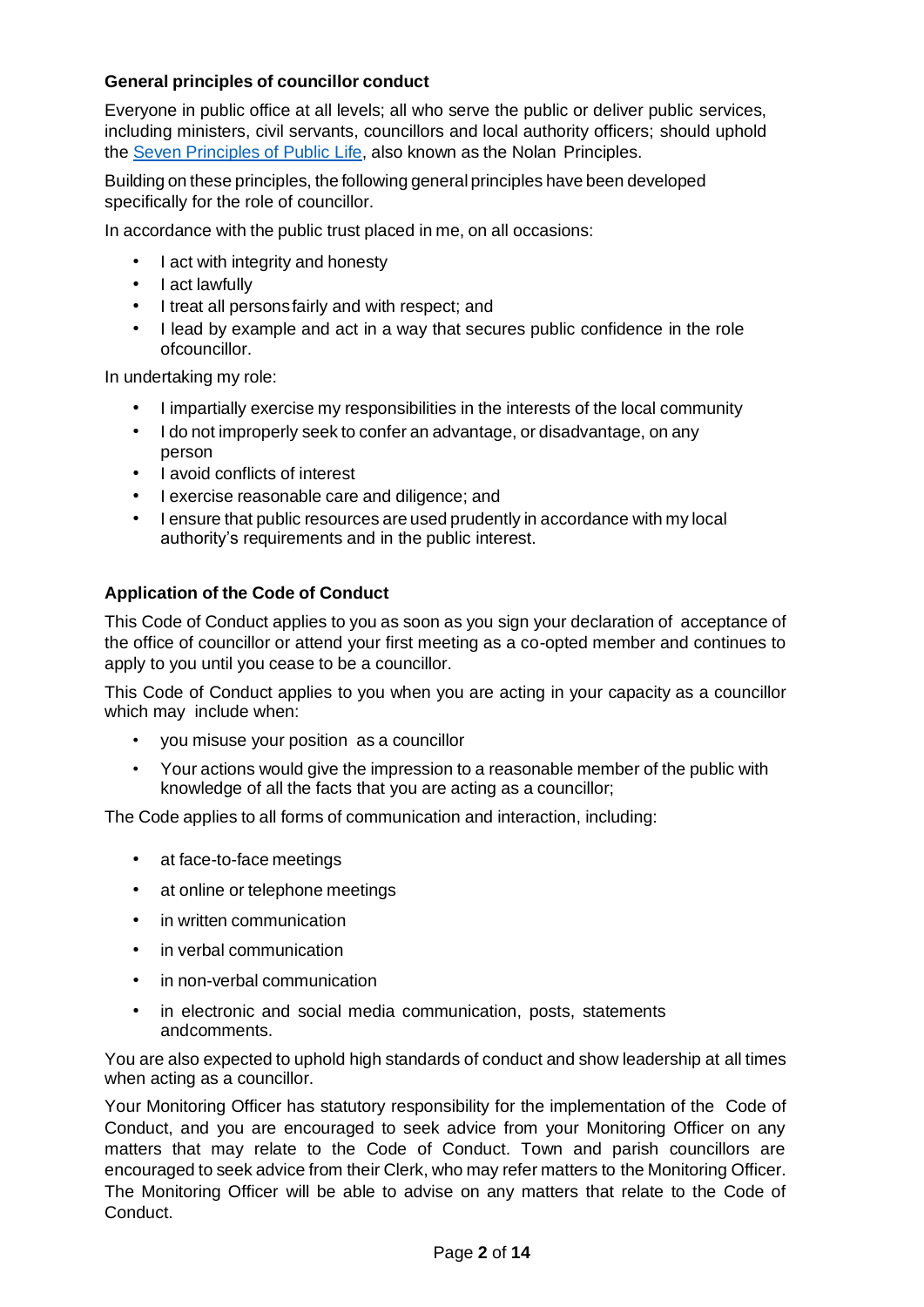## **General principles of councillor conduct**

Everyone in public office at all levels; all who serve the public or deliver public services, including ministers, civil servants, councillors and local authority officers; should uphold the Seven [Principles](https://www.gov.uk/government/publications/the-7-principles-of-public-life/the-7-principles-of-public-life--2) of Public Lif[e, a](https://www.gov.uk/government/publications/the-7-principles-of-public-life/the-7-principles-of-public-life--2)lso known as the Nolan Principles.

Building on these principles, the following general principles have been developed specifically for the role of councillor.

In accordance with the public trust placed in me, on all occasions:

- I act with integrity and honesty
- I act lawfully
- I treat all personsfairly and with respect; and
- I lead by example and act in a way that secures public confidence in the role ofcouncillor.

In undertaking my role:

- I impartially exercise my responsibilities in the interests of the local community
- I do not improperly seek to confer an advantage, or disadvantage, on any person
- I avoid conflicts of interest
- I exercise reasonable care and diligence; and
- I ensure that public resources are used prudently in accordance with my local authority's requirements and in the public interest.

#### **Application of the Code of Conduct**

This Code of Conduct applies to you as soon as you sign your declaration of acceptance of the office of councillor or attend your first meeting as a co-opted member and continues to apply to you until you cease to be a councillor.

This Code of Conduct applies to you when you are acting in your capacity as a councillor which may include when:

- you misuse your position as a councillor
- Your actions would give the impression to a reasonable member of the public with knowledge of all the facts that you are acting as a councillor;

The Code applies to all forms of communication and interaction, including:

- at face-to-face meetings
- at online or telephone meetings
- in written communication
- in verbal communication
- in non-verbal communication
- in electronic and social media communication, posts, statements andcomments.

You are also expected to uphold high standards of conduct and show leadership at all times when acting as a councillor.

Your Monitoring Officer has statutory responsibility for the implementation of the Code of Conduct, and you are encouraged to seek advice from your Monitoring Officer on any matters that may relate to the Code of Conduct. Town and parish councillors are encouraged to seek advice from their Clerk, who may refer matters to the Monitoring Officer. The Monitoring Officer will be able to advise on any matters that relate to the Code of Conduct.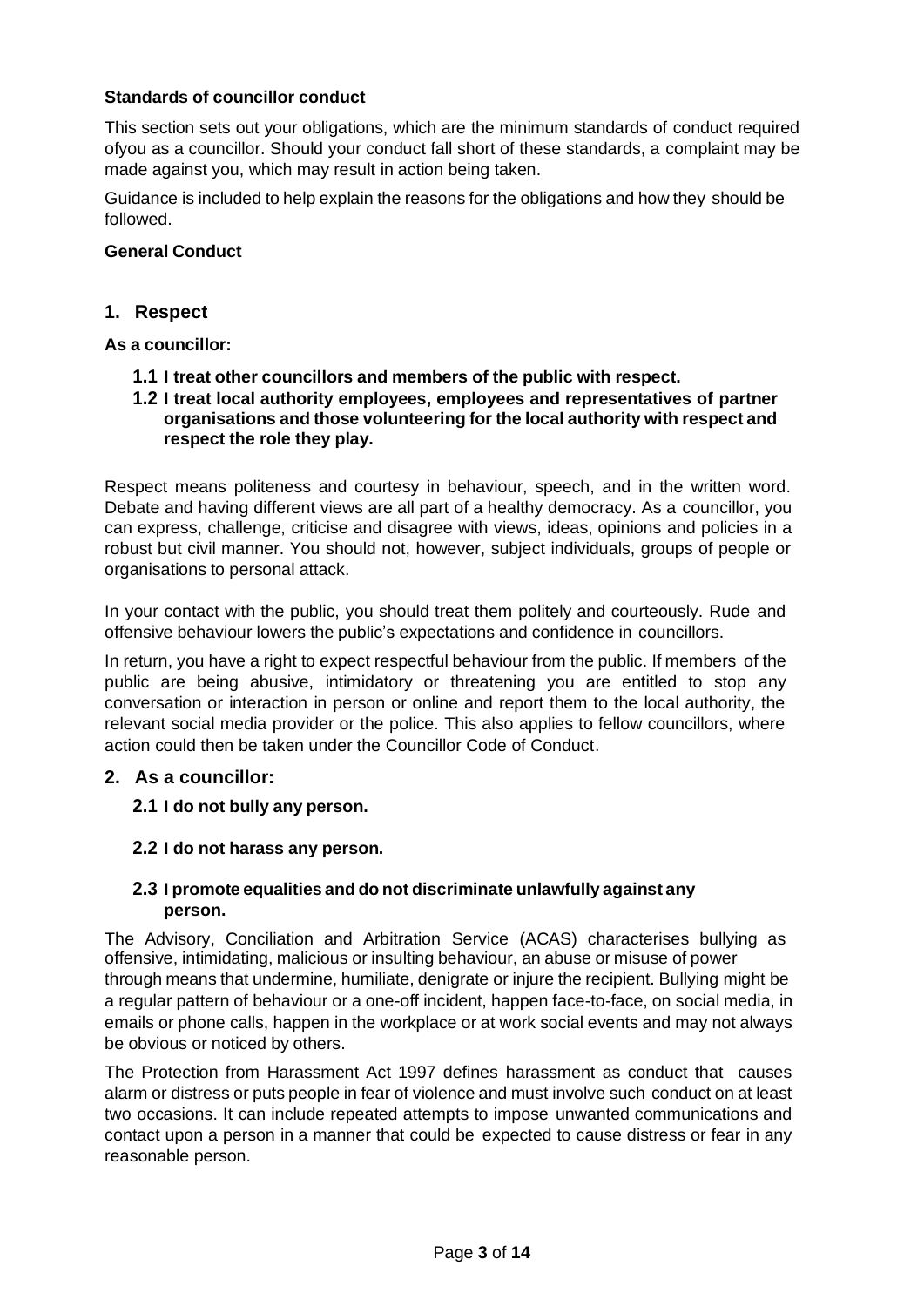## **Standards of councillor conduct**

This section sets out your obligations, which are the minimum standards of conduct required ofyou as a councillor. Should your conduct fall short of these standards, a complaint may be made against you, which may result in action being taken.

Guidance is included to help explain the reasons for the obligations and how they should be followed.

#### **General Conduct**

#### **1. Respect**

#### **As a councillor:**

- **1.1 I treat other councillors and members of the public with respect.**
- **1.2 I treat local authority employees, employees and representatives of partner organisations and those volunteering for the local authority with respect and respect the role they play.**

Respect means politeness and courtesy in behaviour, speech, and in the written word. Debate and having different views are all part of a healthy democracy. As a councillor, you can express, challenge, criticise and disagree with views, ideas, opinions and policies in a robust but civil manner. You should not, however, subject individuals, groups of people or organisations to personal attack.

In your contact with the public, you should treat them politely and courteously. Rude and offensive behaviour lowers the public's expectations and confidence in councillors.

In return, you have a right to expect respectful behaviour from the public. If members of the public are being abusive, intimidatory or threatening you are entitled to stop any conversation or interaction in person or online and report them to the local authority, the relevant social media provider or the police. This also applies to fellow councillors, where action could then be taken under the Councillor Code of Conduct.

#### **2. As a councillor:**

- **2.1 I do not bully any person.**
- **2.2 I do not harass any person.**

#### **2.3 I promote equalities and do not discriminate unlawfully against any person.**

The Advisory, Conciliation and Arbitration Service (ACAS) characterises bullying as offensive, intimidating, malicious or insulting behaviour, an abuse or misuse of power through means that undermine, humiliate, denigrate or injure the recipient. Bullying might be a regular pattern of behaviour or a one-off incident, happen face-to-face, on social media, in emails or phone calls, happen in the workplace or at work social events and may not always be obvious or noticed by others.

The Protection from Harassment Act 1997 defines harassment as conduct that causes alarm or distress or puts people in fear of violence and must involve such conduct on at least two occasions. It can include repeated attempts to impose unwanted communications and contact upon a person in a manner that could be expected to cause distress or fear in any reasonable person.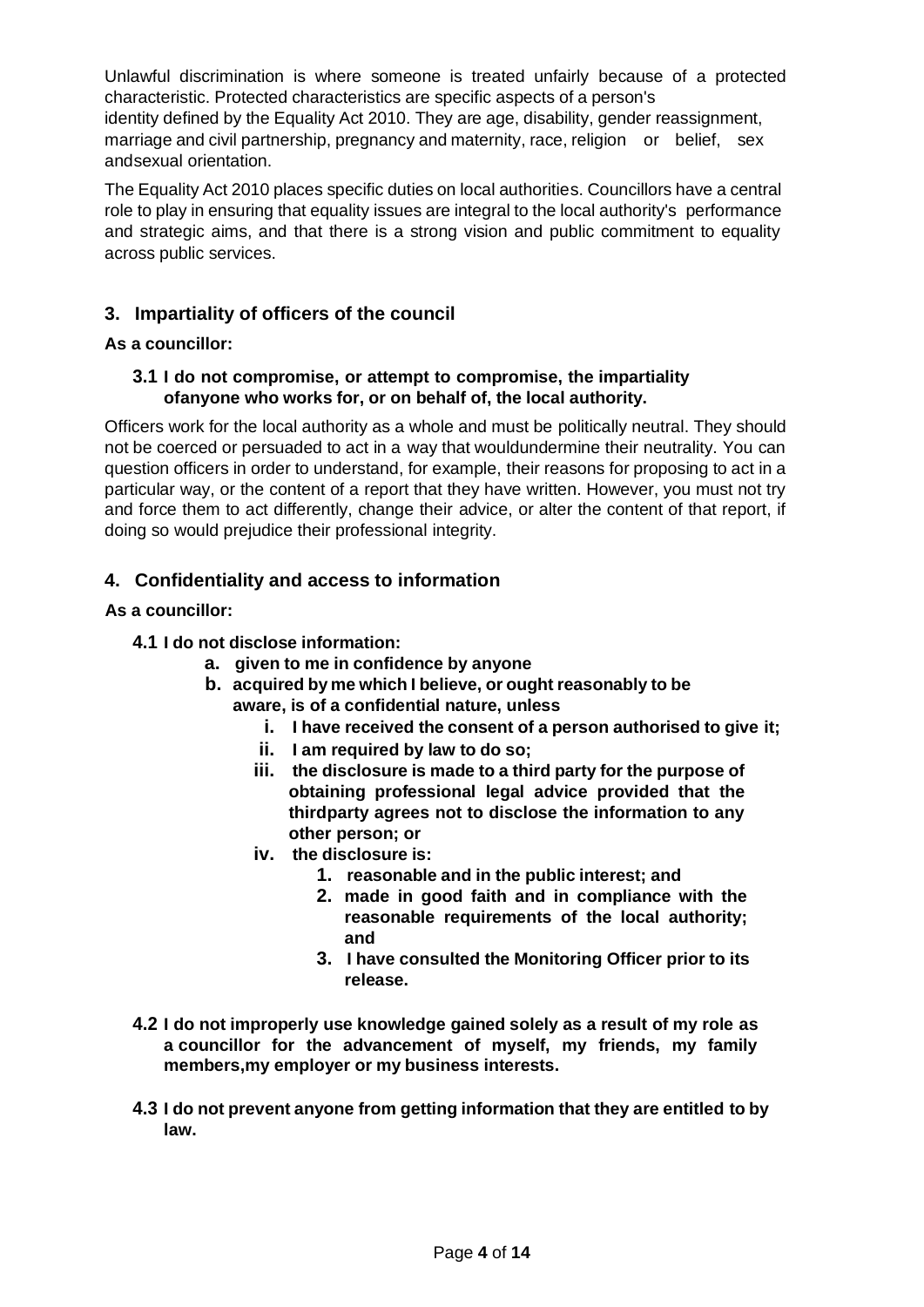Unlawful discrimination is where someone is treated unfairly because of a protected characteristic. Protected characteristics are specific aspects of a person's identity defined by the Equality Act 2010. They are age, disability, gender reassignment, marriage and civil partnership, pregnancy and maternity, race, religion or belief, sex andsexual orientation.

The Equality Act 2010 places specific duties on local authorities. Councillors have a central role to play in ensuring that equality issues are integral to the local authority's performance and strategic aims, and that there is a strong vision and public commitment to equality across public services.

# **3. Impartiality of officers of the council**

#### **As a councillor:**

#### **3.1 I do not compromise, or attempt to compromise, the impartiality ofanyone who works for, or on behalf of, the local authority.**

Officers work for the local authority as a whole and must be politically neutral. They should not be coerced or persuaded to act in a way that wouldundermine their neutrality. You can question officers in order to understand, for example, their reasons for proposing to act in a particular way, or the content of a report that they have written. However, you must not try and force them to act differently, change their advice, or alter the content of that report, if doing so would prejudice their professional integrity.

# **4. Confidentiality and access to information**

#### **As a councillor:**

#### **4.1 I do not disclose information:**

- **a. given to me in confidence by anyone**
- **b. acquired by me which I believe, or ought reasonably to be aware, is of a confidential nature, unless**
	- **i. I have received the consent of a person authorised to give it;**
	- **ii. I am required by law to do so;**
	- **iii. the disclosure is made to a third party for the purpose of obtaining professional legal advice provided that the thirdparty agrees not to disclose the information to any other person; or**
	- **iv. the disclosure is:**
		- **1. reasonable and in the public interest; and**
		- **2. made in good faith and in compliance with the reasonable requirements of the local authority; and**
		- **3. I have consulted the Monitoring Officer prior to its release.**
- **4.2 I do not improperly use knowledge gained solely as a result of my role as a councillor for the advancement of myself, my friends, my family members,my employer or my business interests.**
- **4.3 I do not prevent anyone from getting information that they are entitled to by law.**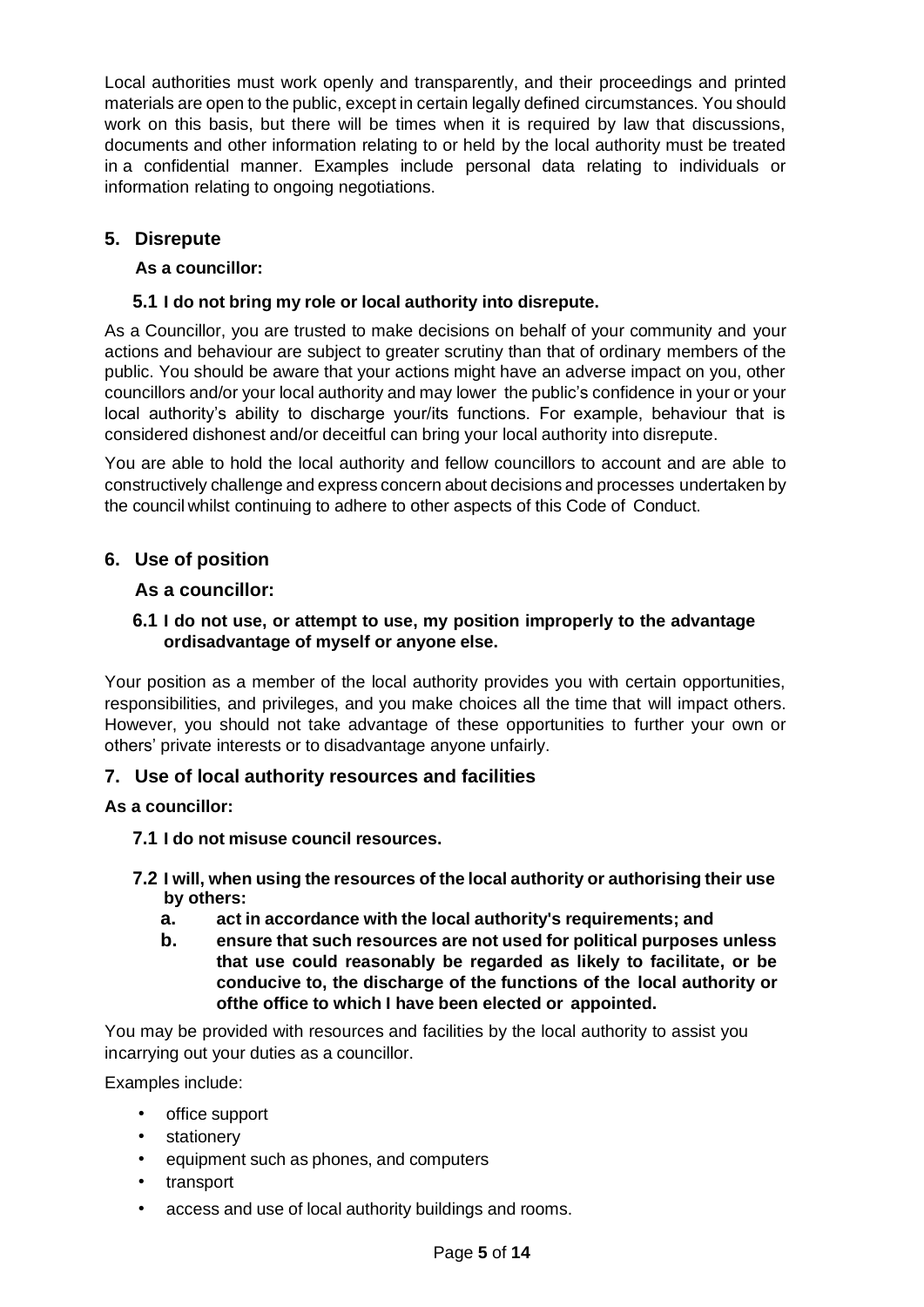Local authorities must work openly and transparently, and their proceedings and printed materials are open to the public, except in certain legally defined circumstances. You should work on this basis, but there will be times when it is required by law that discussions, documents and other information relating to or held by the local authority must be treated in a confidential manner. Examples include personal data relating to individuals or information relating to ongoing negotiations.

# **5. Disrepute**

## **As a councillor:**

# **5.1 I do not bring my role or local authority into disrepute.**

As a Councillor, you are trusted to make decisions on behalf of your community and your actions and behaviour are subject to greater scrutiny than that of ordinary members of the public. You should be aware that your actions might have an adverse impact on you, other councillors and/or your local authority and may lower the public's confidence in your or your local authority's ability to discharge your/its functions. For example, behaviour that is considered dishonest and/or deceitful can bring your local authority into disrepute.

You are able to hold the local authority and fellow councillors to account and are able to constructively challenge and express concern about decisions and processes undertaken by the council whilst continuing to adhere to other aspects of this Code of Conduct.

# **6. Use of position**

## **As a councillor:**

## **6.1 I do not use, or attempt to use, my position improperly to the advantage ordisadvantage of myself or anyone else.**

Your position as a member of the local authority provides you with certain opportunities, responsibilities, and privileges, and you make choices all the time that will impact others. However, you should not take advantage of these opportunities to further your own or others' private interests or to disadvantage anyone unfairly.

## **7. Use of local authority resources and facilities**

## **As a councillor:**

**7.1 I do not misuse council resources.**

## **7.2 I will, when using the resources of the local authority or authorising their use by others:**

- **a. act in accordance with the local authority's requirements; and**
- **b. ensure that such resources are not used for political purposes unless that use could reasonably be regarded as likely to facilitate, or be conducive to, the discharge of the functions of the local authority or ofthe office to which I have been elected or appointed.**

You may be provided with resources and facilities by the local authority to assist you incarrying out your duties as a councillor.

Examples include:

- office support
- stationery
- equipment such as phones, and computers
- transport
- access and use of local authority buildings and rooms.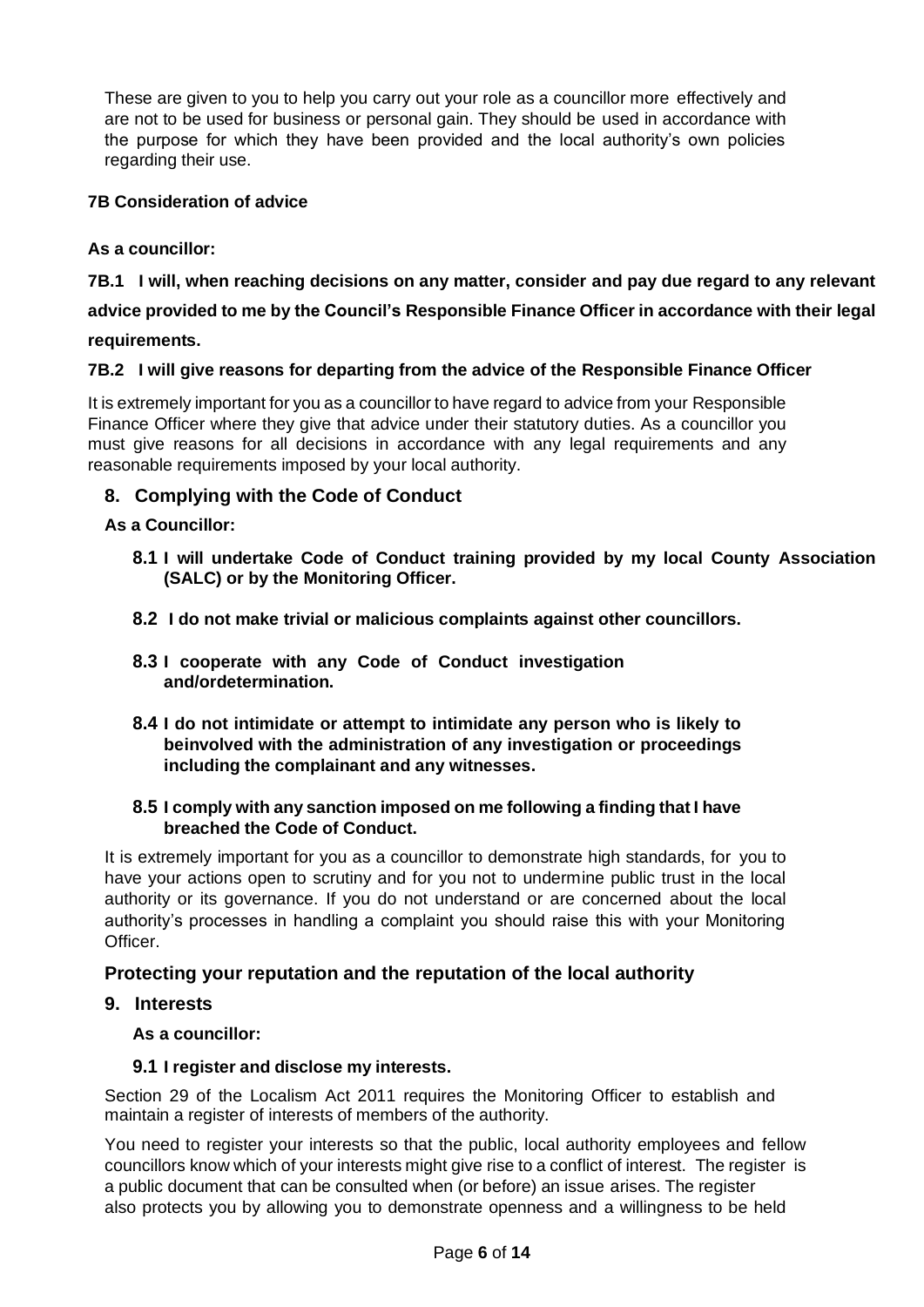These are given to you to help you carry out your role as a councillor more effectively and are not to be used for business or personal gain. They should be used in accordance with the purpose for which they have been provided and the local authority's own policies regarding their use.

# **7B Consideration of advice**

**As a councillor:**

## **7B.1 I will, when reaching decisions on any matter, consider and pay due regard to any relevant**

**advice provided to me by the Council's Responsible Finance Officer in accordance with their legal** 

**requirements.**

## **7B.2 I will give reasons for departing from the advice of the Responsible Finance Officer**

It is extremely important for you as a councillor to have regard to advice from your Responsible Finance Officer where they give that advice under their statutory duties. As a councillor you must give reasons for all decisions in accordance with any legal requirements and any reasonable requirements imposed by your local authority.

# **8. Complying with the Code of Conduct**

## **As a Councillor:**

- **8.1 I will undertake Code of Conduct training provided by my local County Association (SALC) or by the Monitoring Officer.**
- **8.2 I do not make trivial or malicious complaints against other councillors.**
- **8.3 I cooperate with any Code of Conduct investigation and/ordetermination.**
- **8.4 I do not intimidate or attempt to intimidate any person who is likely to beinvolved with the administration of any investigation or proceedings including the complainant and any witnesses.**

## **8.5 I comply with any sanction imposed on me following a finding that I have breached the Code of Conduct.**

It is extremely important for you as a councillor to demonstrate high standards, for you to have your actions open to scrutiny and for you not to undermine public trust in the local authority or its governance. If you do not understand or are concerned about the local authority's processes in handling a complaint you should raise this with your Monitoring Officer.

# **Protecting your reputation and the reputation of the local authority**

**9. Interests** 

**As a councillor:** 

## **9.1 I register and disclose my interests.**

Section 29 of the Localism Act 2011 requires the Monitoring Officer to establish and maintain a register of interests of members of the authority.

You need to register your interests so that the public, local authority employees and fellow councillors know which of your interests might give rise to a conflict of interest. The register is a public document that can be consulted when (or before) an issue arises. The register also protects you by allowing you to demonstrate openness and a willingness to be held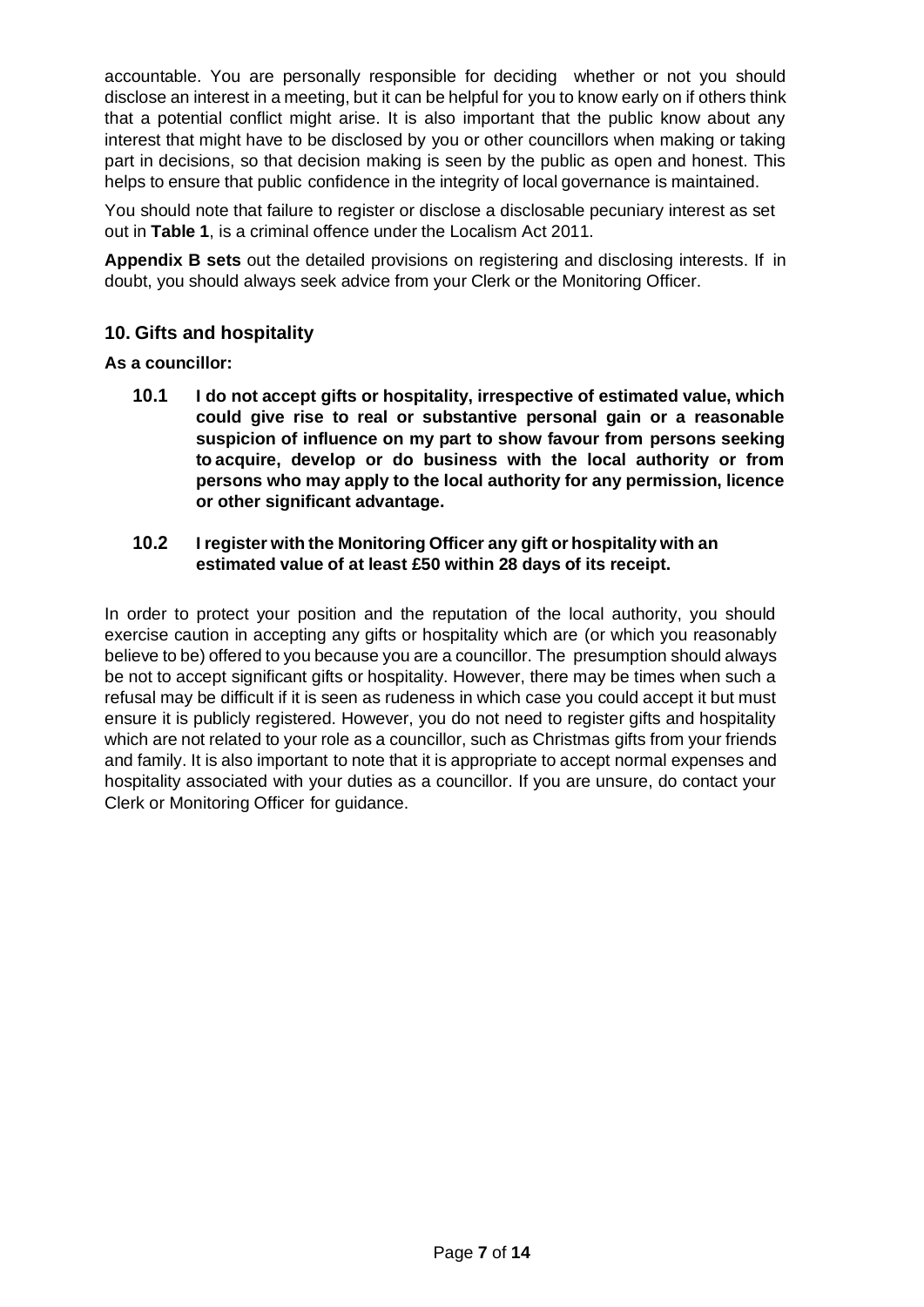accountable. You are personally responsible for deciding whether or not you should disclose an interest in a meeting, but it can be helpful for you to know early on if others think that a potential conflict might arise. It is also important that the public know about any interest that might have to be disclosed by you or other councillors when making or taking part in decisions, so that decision making is seen by the public as open and honest. This helps to ensure that public confidence in the integrity of local governance is maintained.

You should note that failure to register or disclose a disclosable pecuniary interest as set out in **Table 1**, is a criminal offence under the Localism Act 2011.

**Appendix B sets** out the detailed provisions on registering and disclosing interests. If in doubt, you should always seek advice from your Clerk or the Monitoring Officer.

## **10. Gifts and hospitality**

#### **As a councillor:**

**10.1 I do not accept gifts or hospitality, irrespective of estimated value, which could give rise to real or substantive personal gain or a reasonable suspicion of influence on my part to show favour from persons seeking to acquire, develop or do business with the local authority or from persons who may apply to the local authority for any permission, licence or other significant advantage.**

#### **10.2 I register with the Monitoring Officer any gift or hospitality with an estimated value of at least £50 within 28 days of its receipt.**

In order to protect your position and the reputation of the local authority, you should exercise caution in accepting any gifts or hospitality which are (or which you reasonably believe to be) offered to you because you are a councillor. The presumption should always be not to accept significant gifts or hospitality. However, there may be times when such a refusal may be difficult if it is seen as rudeness in which case you could accept it but must ensure it is publicly registered. However, you do not need to register gifts and hospitality which are not related to your role as a councillor, such as Christmas gifts from your friends and family. It is also important to note that it is appropriate to accept normal expenses and hospitality associated with your duties as a councillor. If you are unsure, do contact your Clerk or Monitoring Officer for guidance.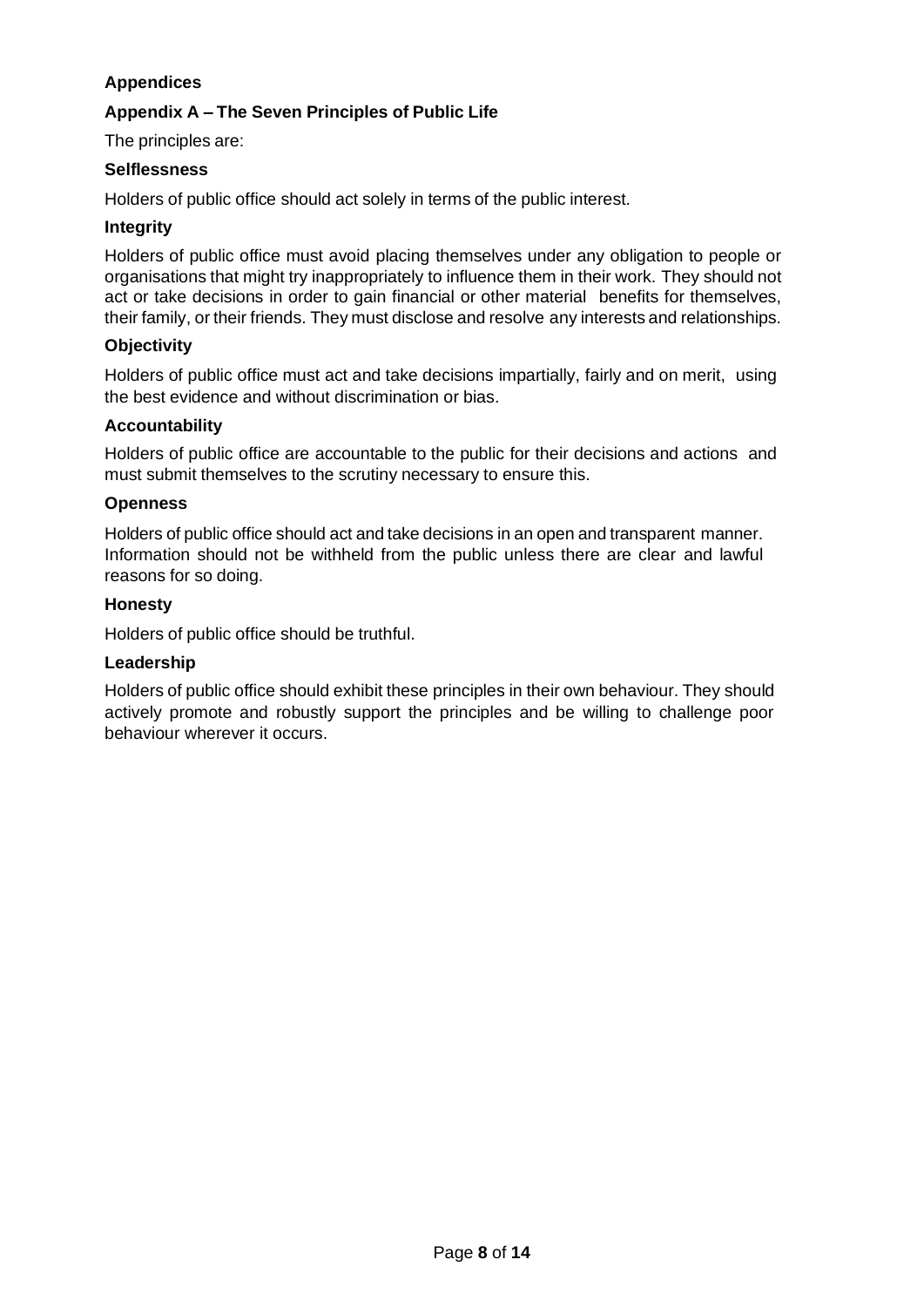# **Appendices**

## **Appendix A – The Seven Principles of Public Life**

The principles are:

#### **Selflessness**

Holders of public office should act solely in terms of the public interest.

#### **Integrity**

Holders of public office must avoid placing themselves under any obligation to people or organisations that might try inappropriately to influence them in their work. They should not act or take decisions in order to gain financial or other material benefits for themselves, their family, or their friends. They must disclose and resolve any interests and relationships.

#### **Objectivity**

Holders of public office must act and take decisions impartially, fairly and on merit, using the best evidence and without discrimination or bias.

#### **Accountability**

Holders of public office are accountable to the public for their decisions and actions and must submit themselves to the scrutiny necessary to ensure this.

#### **Openness**

Holders of public office should act and take decisions in an open and transparent manner. Information should not be withheld from the public unless there are clear and lawful reasons for so doing.

#### **Honesty**

Holders of public office should be truthful.

#### **Leadership**

Holders of public office should exhibit these principles in their own behaviour. They should actively promote and robustly support the principles and be willing to challenge poor behaviour wherever it occurs.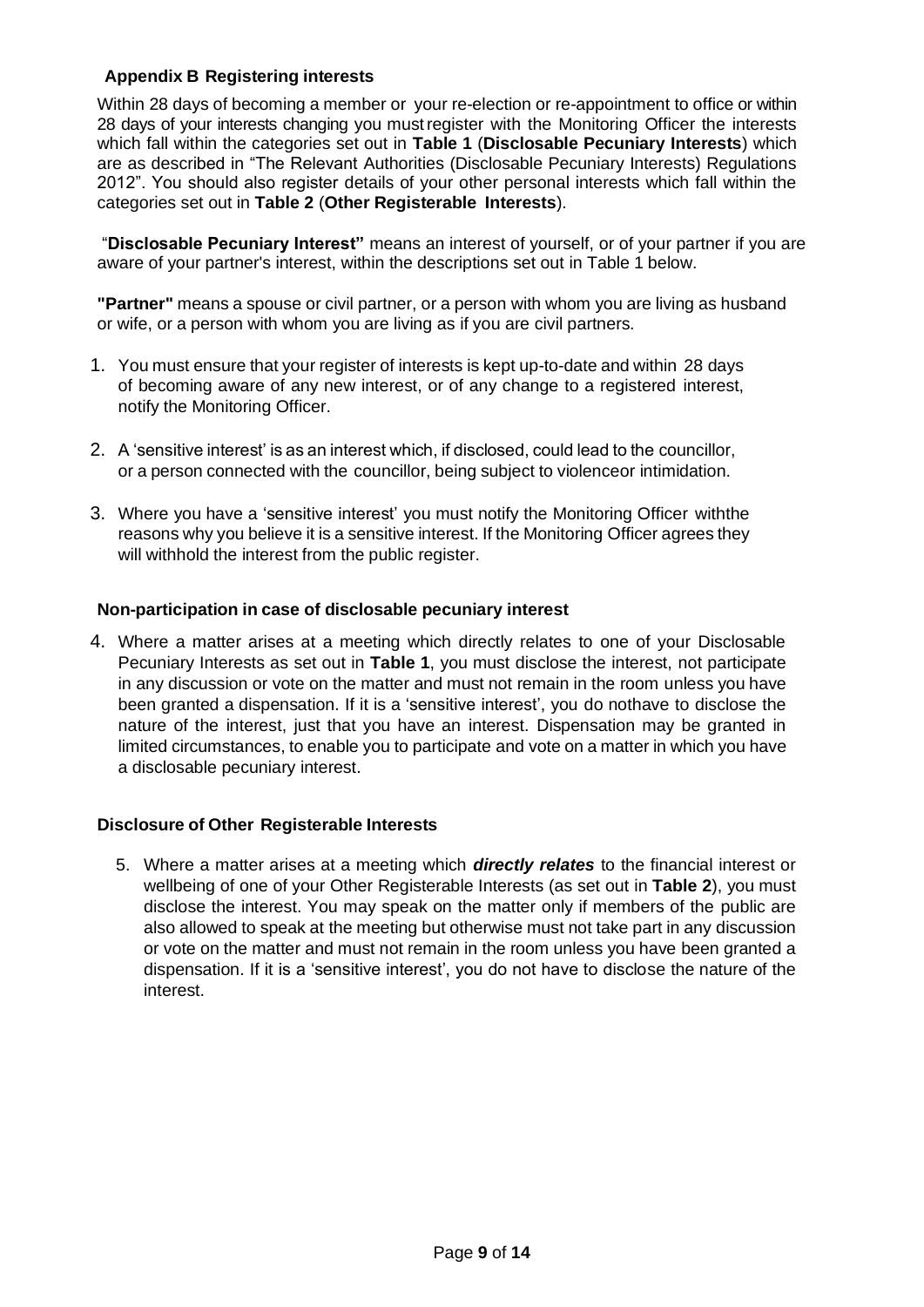## **Appendix B Registering interests**

Within 28 days of becoming a member or your re-election or re-appointment to office or within 28 days of your interests changing you must register with the Monitoring Officer the interests which fall within the categories set out in **Table 1** (**Disclosable Pecuniary Interests**) which are as described in "The Relevant Authorities (Disclosable Pecuniary Interests) Regulations 2012". You should also register details of your other personal interests which fall within the categories set out in **Table 2** (**Other Registerable Interests**).

"**Disclosable Pecuniary Interest"** means an interest of yourself, or of your partner if you are aware of your partner's interest, within the descriptions set out in Table 1 below.

**"Partner"** means a spouse or civil partner, or a person with whom you are living as husband or wife, or a person with whom you are living as if you are civil partners.

- 1. You must ensure that your register of interests is kept up-to-date and within 28 days of becoming aware of any new interest, or of any change to a registered interest, notify the Monitoring Officer.
- 2. A 'sensitive interest' is as an interest which, if disclosed, could lead to the councillor, or a person connected with the councillor, being subject to violenceor intimidation.
- 3. Where you have a 'sensitive interest' you must notify the Monitoring Officer withthe reasons why you believe it is a sensitive interest. If the Monitoring Officer agrees they will withhold the interest from the public register.

#### **Non-participation in case of disclosable pecuniary interest**

4. Where a matter arises at a meeting which directly relates to one of your Disclosable Pecuniary Interests as set out in **Table 1**, you must disclose the interest, not participate in any discussion or vote on the matter and must not remain in the room unless you have been granted a dispensation. If it is a 'sensitive interest', you do nothave to disclose the nature of the interest, just that you have an interest. Dispensation may be granted in limited circumstances, to enable you to participate and vote on a matter in which you have a disclosable pecuniary interest.

#### **Disclosure of Other Registerable Interests**

5. Where a matter arises at a meeting which *directly relates* to the financial interest or wellbeing of one of your Other Registerable Interests (as set out in **Table 2**), you must disclose the interest. You may speak on the matter only if members of the public are also allowed to speak at the meeting but otherwise must not take part in any discussion or vote on the matter and must not remain in the room unless you have been granted a dispensation. If it is a 'sensitive interest', you do not have to disclose the nature of the interest.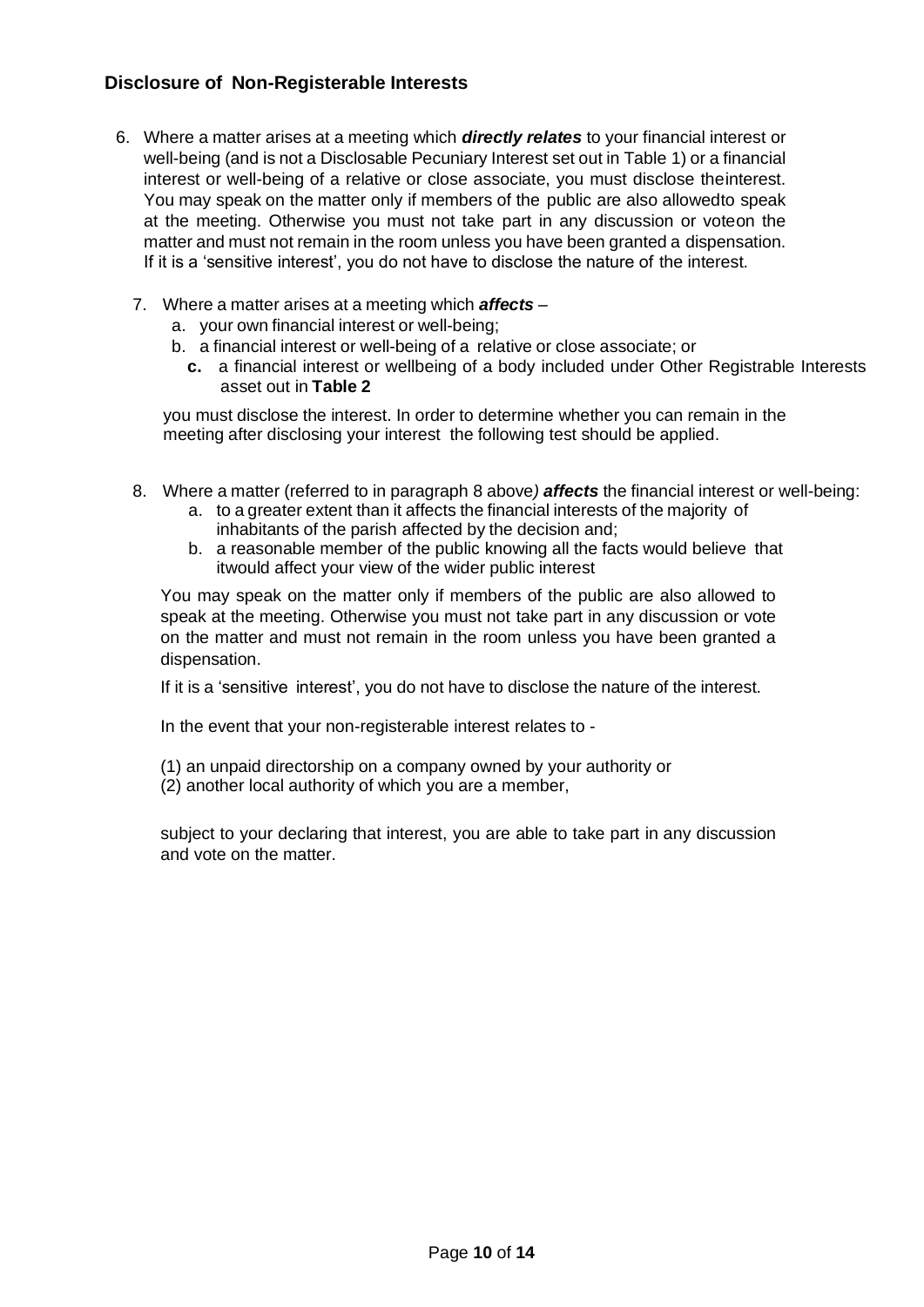# **Disclosure of Non-Registerable Interests**

- 6. Where a matter arises at a meeting which *directly relates* to your financial interest or well-being (and is not a Disclosable Pecuniary Interest set out in Table 1) or a financial interest or well-being of a relative or close associate, you must disclose theinterest. You may speak on the matter only if members of the public are also allowedto speak at the meeting. Otherwise you must not take part in any discussion or voteon the matter and must not remain in the room unless you have been granted a dispensation. If it is a 'sensitive interest', you do not have to disclose the nature of the interest.
	- 7. Where a matter arises at a meeting which *affects*
		- a. your own financial interest or well-being;
		- b. a financial interest or well-being of a relative or close associate; or
			- **c.** a financial interest or wellbeing of a body included under Other Registrable Interests asset out in **Table 2**

you must disclose the interest. In order to determine whether you can remain in the meeting after disclosing your interest the following test should be applied.

- 8. Where a matter (referred to in paragraph 8 above*) affects* the financial interest or well-being:
	- a. to a greater extent than it affects the financial interests of the majority of inhabitants of the parish affected by the decision and;
	- b. a reasonable member of the public knowing all the facts would believe that itwould affect your view of the wider public interest

You may speak on the matter only if members of the public are also allowed to speak at the meeting. Otherwise you must not take part in any discussion or vote on the matter and must not remain in the room unless you have been granted a dispensation.

If it is a 'sensitive interest', you do not have to disclose the nature of the interest.

In the event that your non-registerable interest relates to -

(1) an unpaid directorship on a company owned by your authority or

(2) another local authority of which you are a member,

subject to your declaring that interest, you are able to take part in any discussion and vote on the matter.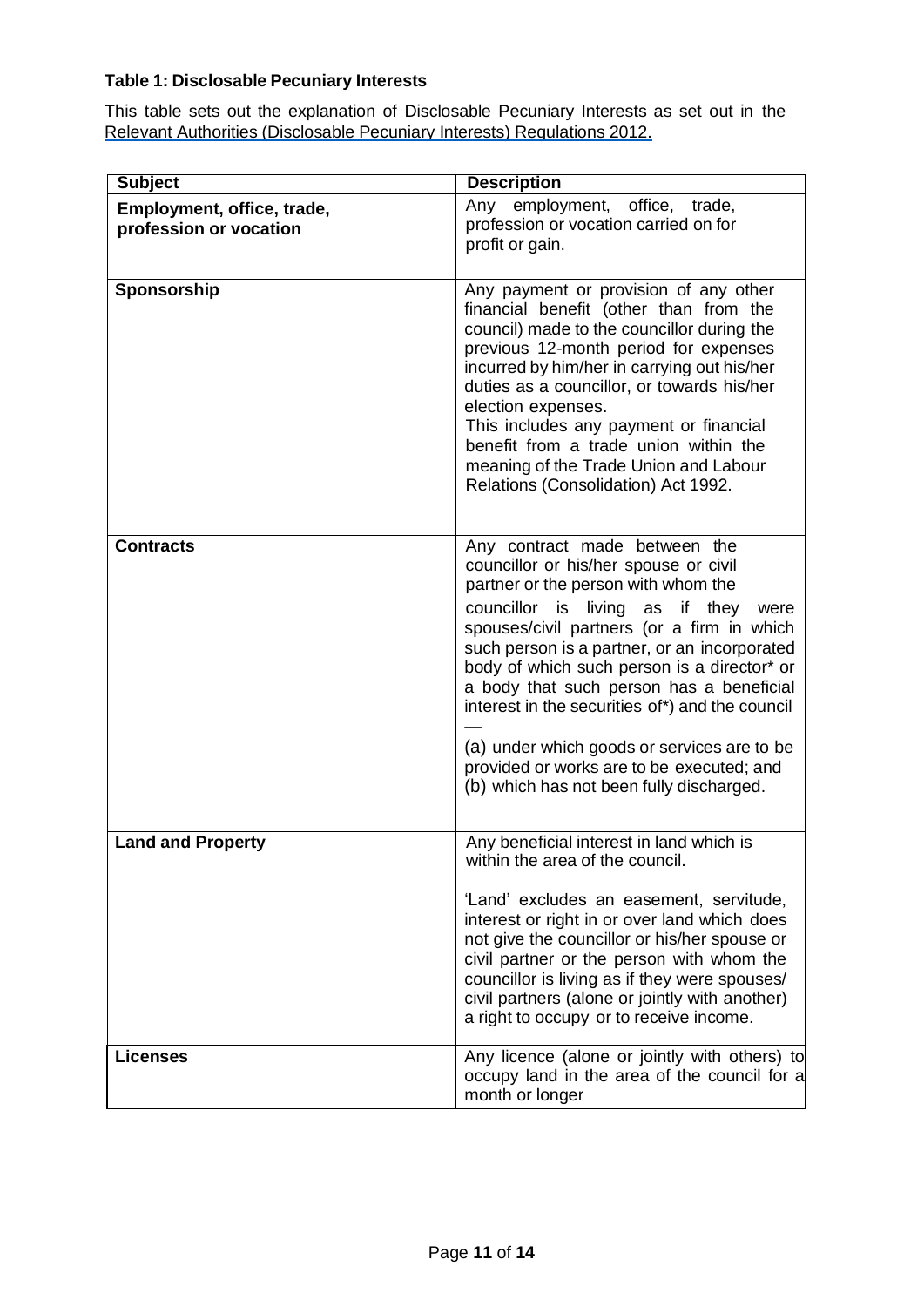# **Table 1: Disclosable Pecuniary Interests**

This table sets out the explanation of Disclosable Pecuniary Interests as set out in the Relevant Authorities [\(Disclosable](https://www.legislation.gov.uk/uksi/2012/1464/made) Pecuniary Interests) Regulations 201[2.](https://www.legislation.gov.uk/uksi/2012/1464/made)

| <b>Subject</b>                                       | <b>Description</b>                                                                                                                                                                                                                                                                                                                                                                                                                                                                                                                           |
|------------------------------------------------------|----------------------------------------------------------------------------------------------------------------------------------------------------------------------------------------------------------------------------------------------------------------------------------------------------------------------------------------------------------------------------------------------------------------------------------------------------------------------------------------------------------------------------------------------|
| Employment, office, trade,<br>profession or vocation | Any employment, office, trade,<br>profession or vocation carried on for<br>profit or gain.                                                                                                                                                                                                                                                                                                                                                                                                                                                   |
| Sponsorship                                          | Any payment or provision of any other<br>financial benefit (other than from the<br>council) made to the councillor during the<br>previous 12-month period for expenses<br>incurred by him/her in carrying out his/her<br>duties as a councillor, or towards his/her<br>election expenses.<br>This includes any payment or financial<br>benefit from a trade union within the<br>meaning of the Trade Union and Labour<br>Relations (Consolidation) Act 1992.                                                                                 |
| <b>Contracts</b>                                     | Any contract made between the<br>councillor or his/her spouse or civil<br>partner or the person with whom the<br>councillor is living as if they<br>were<br>spouses/civil partners (or a firm in which<br>such person is a partner, or an incorporated<br>body of which such person is a director* or<br>a body that such person has a beneficial<br>interest in the securities of*) and the council<br>(a) under which goods or services are to be<br>provided or works are to be executed; and<br>(b) which has not been fully discharged. |
| <b>Land and Property</b>                             | Any beneficial interest in land which is<br>within the area of the council.<br>'Land' excludes an easement, servitude,<br>interest or right in or over land which does<br>not give the councillor or his/her spouse or<br>civil partner or the person with whom the<br>councillor is living as if they were spouses/<br>civil partners (alone or jointly with another)<br>a right to occupy or to receive income.                                                                                                                            |
| <b>Licenses</b>                                      | Any licence (alone or jointly with others) to<br>occupy land in the area of the council for a<br>month or longer                                                                                                                                                                                                                                                                                                                                                                                                                             |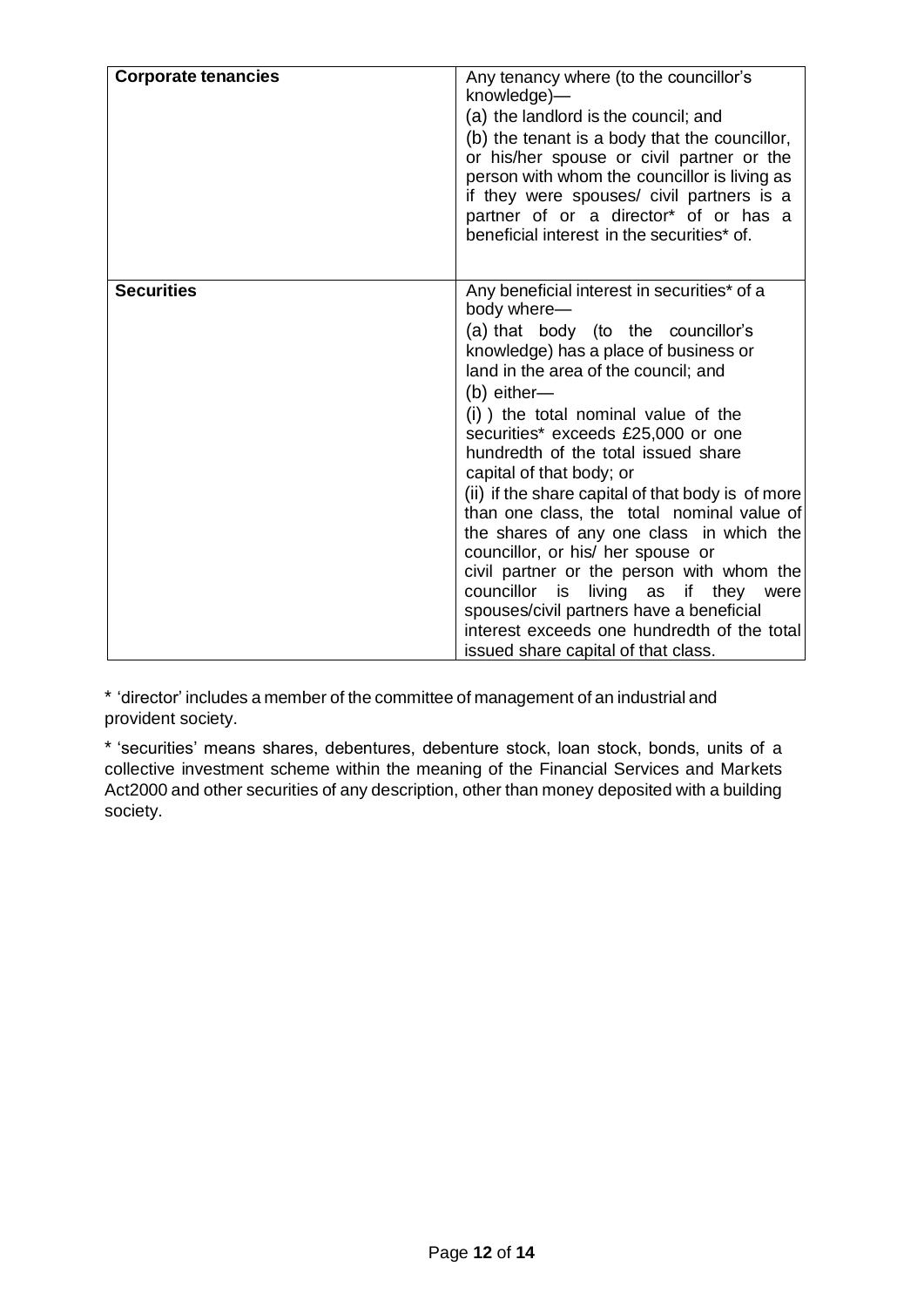| <b>Corporate tenancies</b> | Any tenancy where (to the councillor's<br>knowledge)—<br>(a) the landlord is the council; and<br>(b) the tenant is a body that the councillor,<br>or his/her spouse or civil partner or the<br>person with whom the councillor is living as<br>if they were spouses/ civil partners is a<br>partner of or a director* of or has a<br>beneficial interest in the securities* of.                                                                                                                                                                                                                                                                                                                                                                                     |
|----------------------------|---------------------------------------------------------------------------------------------------------------------------------------------------------------------------------------------------------------------------------------------------------------------------------------------------------------------------------------------------------------------------------------------------------------------------------------------------------------------------------------------------------------------------------------------------------------------------------------------------------------------------------------------------------------------------------------------------------------------------------------------------------------------|
| <b>Securities</b>          | Any beneficial interest in securities* of a<br>body where-<br>(a) that body (to the councillor's<br>knowledge) has a place of business or<br>land in the area of the council; and<br>(b) either-<br>(i) the total nominal value of the<br>securities* exceeds £25,000 or one<br>hundredth of the total issued share<br>capital of that body; or<br>(ii) if the share capital of that body is of more<br>than one class, the total nominal value of<br>the shares of any one class in which the<br>councillor, or his/ her spouse or<br>civil partner or the person with whom the<br>living as<br>councillor<br>is<br>if they were<br>spouses/civil partners have a beneficial<br>interest exceeds one hundredth of the total<br>issued share capital of that class. |

\* 'director' includes a member of the committee of management of an industrial and provident society.

\* 'securities' means shares, debentures, debenture stock, loan stock, bonds, units of a collective investment scheme within the meaning of the Financial Services and Markets Act2000 and other securities of any description, other than money deposited with a building society.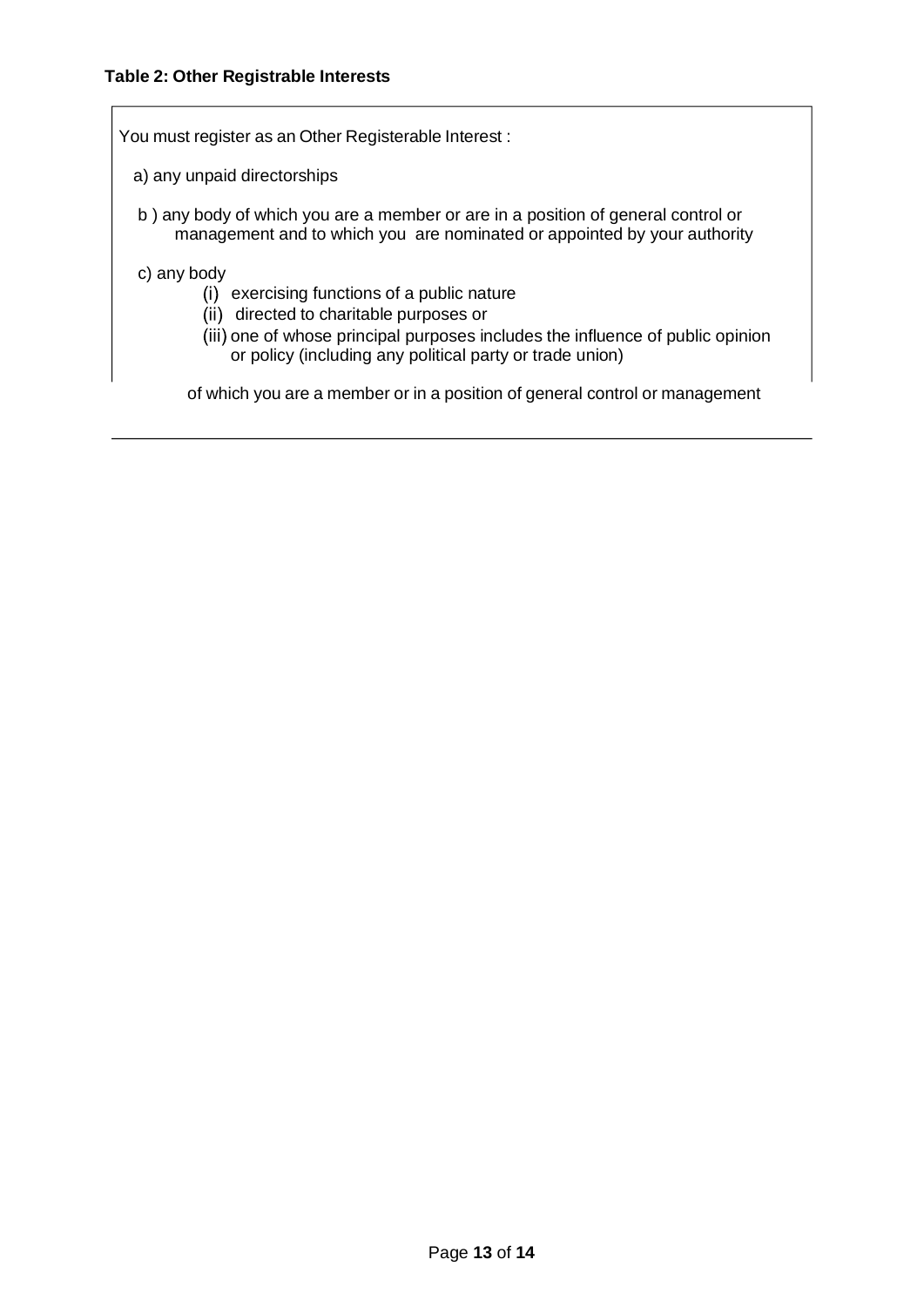#### **Table 2: Other Registrable Interests**

You must register as an Other Registerable Interest :

- a) any unpaid directorships
- b ) any body of which you are a member or are in a position of general control or management and to which you are nominated or appointed by your authority
- c) any body
	- (i) exercising functions of a public nature
	- (ii) directed to charitable purposes or
	- (iii) one of whose principal purposes includes the influence of public opinion or policy (including any political party or trade union)

of which you are a member or in a position of general control or management